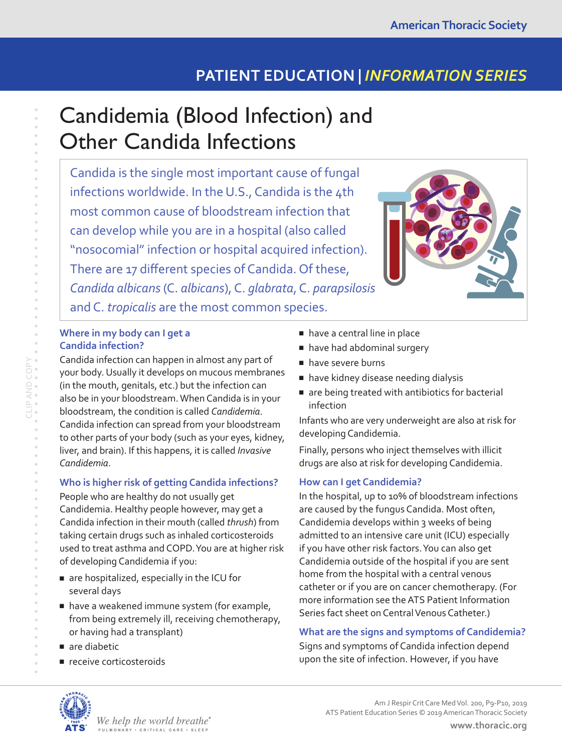## **PATIENT EDUCATION |** *INFORMATION SERIES*

# Candidemia (Blood Infection) and Other Candida Infections

Candida is the single most important cause of fungal infections worldwide. In the U.S., Candida is the 4th most common cause of bloodstream infection that can develop while you are in a hospital (also called "nosocomial" infection or hospital acquired infection). There are 17 different species of Candida. Of these, *Candida albicans* (C. *albicans*), C. *glabrata*, C. *parapsilosis* and C. *tropicalis* are the most common species.



#### **Where in my body can I get a Candida infection?**

Candida infection can happen in almost any part of your body. Usually it develops on mucous membranes (in the mouth, genitals, etc.) but the infection can also be in your bloodstream. When Candida is in your bloodstream, the condition is called *Candidemia*. Candida infection can spread from your bloodstream to other parts of your body (such as your eyes, kidney, liver, and brain). If this happens, it is called *Invasive Candidemia*.

#### **Who is higher risk of getting Candida infections?**

People who are healthy do not usually get Candidemia. Healthy people however, may get a Candida infection in their mouth (called *thrush*) from taking certain drugs such as inhaled corticosteroids used to treat asthma and COPD. You are at higher risk of developing Candidemia if you:

- are hospitalized, especially in the ICU for several days
- have a weakened immune system (for example, from being extremely ill, receiving chemotherapy, or having had a transplant)
- are diabetic
- receive corticosteroids
- have a central line in place
- have had abdominal surgery
- have severe burns
- have kidney disease needing dialysis
- are being treated with antibiotics for bacterial infection

Infants who are very underweight are also at risk for developing Candidemia.

Finally, persons who inject themselves with illicit drugs are also at risk for developing Candidemia.

#### **How can I get Candidemia?**

In the hospital, up to 10% of bloodstream infections are caused by the fungus Candida. Most often, Candidemia develops within 3 weeks of being admitted to an intensive care unit (ICU) especially if you have other risk factors. You can also get Candidemia outside of the hospital if you are sent home from the hospital with a central venous catheter or if you are on cancer chemotherapy. (For more information see the ATS Patient Information Series fact sheet on Central Venous Catheter.)

### **What are the signs and symptoms of Candidemia?**

Signs and symptoms of Candida infection depend upon the site of infection. However, if you have